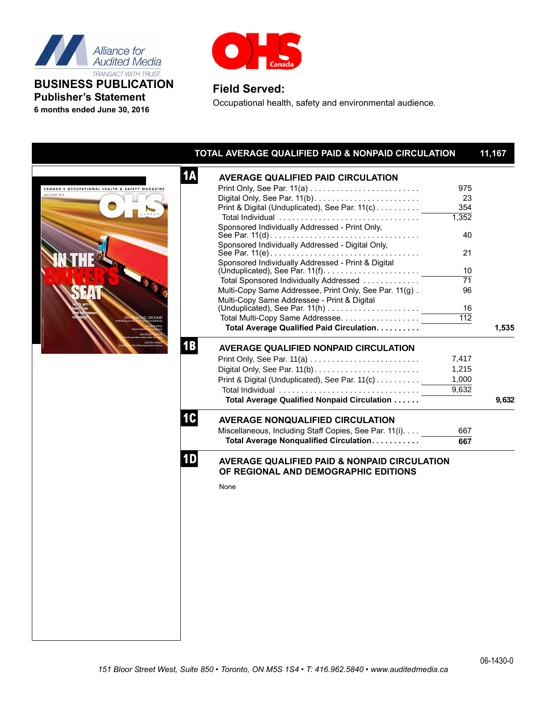

**Publisher's Statement 6 months ended June 30, 2016**



## **Field Served:**

Occupational health, safety and environmental audience.

| <b>1A</b><br><b>AVERAGE QUALIFIED PAID CIRCULATION</b><br>975<br>CANADA'S OCCUPATIONAL HEALTH & SAFETY MAGAZINE<br>MAY/JUNE 2016<br>23<br>Print & Digital (Unduplicated), See Par. 11(c)<br>354<br>1,352<br>Sponsored Individually Addressed - Print Only,<br>40<br>Sponsored Individually Addressed - Digital Only,<br>21<br>Sponsored Individually Addressed - Print & Digital<br>10<br>$\overline{71}$<br>Total Sponsored Individually Addressed<br>Multi-Copy Same Addressee, Print Only, See Par. 11(g).<br>96<br>Multi-Copy Same Addressee - Print & Digital<br>$($ Unduplicated), See Par. 11(h) $\ldots \ldots \ldots \ldots \ldots$<br>16<br>$\overline{112}$<br><b>UOUS GROUND</b><br>Total Average Qualified Paid Circulation.<br><b>1B</b><br><b>AVERAGE QUALIFIED NONPAID CIRCULATION</b><br>7,417<br>1,215<br>Print & Digital (Unduplicated), See Par. 11(c)<br>1.000<br>9,632<br>Total Average Qualified Nonpaid Circulation<br>1C<br><b>AVERAGE NONQUALIFIED CIRCULATION</b><br>Miscellaneous, Including Staff Copies, See Par. 11(i).<br>667<br>Total Average Nonqualified Circulation.<br>667<br>1D<br><b>AVERAGE QUALIFIED PAID &amp; NONPAID CIRCULATION</b><br>OF REGIONAL AND DEMOGRAPHIC EDITIONS<br>None | TOTAL AVERAGE QUALIFIED PAID & NONPAID CIRCULATION | 11,167 |
|----------------------------------------------------------------------------------------------------------------------------------------------------------------------------------------------------------------------------------------------------------------------------------------------------------------------------------------------------------------------------------------------------------------------------------------------------------------------------------------------------------------------------------------------------------------------------------------------------------------------------------------------------------------------------------------------------------------------------------------------------------------------------------------------------------------------------------------------------------------------------------------------------------------------------------------------------------------------------------------------------------------------------------------------------------------------------------------------------------------------------------------------------------------------------------------------------------------------------------|----------------------------------------------------|--------|
|                                                                                                                                                                                                                                                                                                                                                                                                                                                                                                                                                                                                                                                                                                                                                                                                                                                                                                                                                                                                                                                                                                                                                                                                                                  |                                                    |        |
|                                                                                                                                                                                                                                                                                                                                                                                                                                                                                                                                                                                                                                                                                                                                                                                                                                                                                                                                                                                                                                                                                                                                                                                                                                  |                                                    |        |
|                                                                                                                                                                                                                                                                                                                                                                                                                                                                                                                                                                                                                                                                                                                                                                                                                                                                                                                                                                                                                                                                                                                                                                                                                                  |                                                    |        |
|                                                                                                                                                                                                                                                                                                                                                                                                                                                                                                                                                                                                                                                                                                                                                                                                                                                                                                                                                                                                                                                                                                                                                                                                                                  |                                                    |        |
|                                                                                                                                                                                                                                                                                                                                                                                                                                                                                                                                                                                                                                                                                                                                                                                                                                                                                                                                                                                                                                                                                                                                                                                                                                  |                                                    |        |
|                                                                                                                                                                                                                                                                                                                                                                                                                                                                                                                                                                                                                                                                                                                                                                                                                                                                                                                                                                                                                                                                                                                                                                                                                                  |                                                    |        |
|                                                                                                                                                                                                                                                                                                                                                                                                                                                                                                                                                                                                                                                                                                                                                                                                                                                                                                                                                                                                                                                                                                                                                                                                                                  |                                                    |        |
|                                                                                                                                                                                                                                                                                                                                                                                                                                                                                                                                                                                                                                                                                                                                                                                                                                                                                                                                                                                                                                                                                                                                                                                                                                  |                                                    |        |
|                                                                                                                                                                                                                                                                                                                                                                                                                                                                                                                                                                                                                                                                                                                                                                                                                                                                                                                                                                                                                                                                                                                                                                                                                                  |                                                    |        |
|                                                                                                                                                                                                                                                                                                                                                                                                                                                                                                                                                                                                                                                                                                                                                                                                                                                                                                                                                                                                                                                                                                                                                                                                                                  |                                                    |        |
|                                                                                                                                                                                                                                                                                                                                                                                                                                                                                                                                                                                                                                                                                                                                                                                                                                                                                                                                                                                                                                                                                                                                                                                                                                  |                                                    |        |
|                                                                                                                                                                                                                                                                                                                                                                                                                                                                                                                                                                                                                                                                                                                                                                                                                                                                                                                                                                                                                                                                                                                                                                                                                                  |                                                    |        |
|                                                                                                                                                                                                                                                                                                                                                                                                                                                                                                                                                                                                                                                                                                                                                                                                                                                                                                                                                                                                                                                                                                                                                                                                                                  |                                                    |        |
|                                                                                                                                                                                                                                                                                                                                                                                                                                                                                                                                                                                                                                                                                                                                                                                                                                                                                                                                                                                                                                                                                                                                                                                                                                  |                                                    |        |
|                                                                                                                                                                                                                                                                                                                                                                                                                                                                                                                                                                                                                                                                                                                                                                                                                                                                                                                                                                                                                                                                                                                                                                                                                                  |                                                    |        |
|                                                                                                                                                                                                                                                                                                                                                                                                                                                                                                                                                                                                                                                                                                                                                                                                                                                                                                                                                                                                                                                                                                                                                                                                                                  |                                                    |        |
|                                                                                                                                                                                                                                                                                                                                                                                                                                                                                                                                                                                                                                                                                                                                                                                                                                                                                                                                                                                                                                                                                                                                                                                                                                  |                                                    | 1,535  |
|                                                                                                                                                                                                                                                                                                                                                                                                                                                                                                                                                                                                                                                                                                                                                                                                                                                                                                                                                                                                                                                                                                                                                                                                                                  |                                                    |        |
|                                                                                                                                                                                                                                                                                                                                                                                                                                                                                                                                                                                                                                                                                                                                                                                                                                                                                                                                                                                                                                                                                                                                                                                                                                  |                                                    |        |
|                                                                                                                                                                                                                                                                                                                                                                                                                                                                                                                                                                                                                                                                                                                                                                                                                                                                                                                                                                                                                                                                                                                                                                                                                                  |                                                    |        |
|                                                                                                                                                                                                                                                                                                                                                                                                                                                                                                                                                                                                                                                                                                                                                                                                                                                                                                                                                                                                                                                                                                                                                                                                                                  |                                                    |        |
|                                                                                                                                                                                                                                                                                                                                                                                                                                                                                                                                                                                                                                                                                                                                                                                                                                                                                                                                                                                                                                                                                                                                                                                                                                  |                                                    |        |
|                                                                                                                                                                                                                                                                                                                                                                                                                                                                                                                                                                                                                                                                                                                                                                                                                                                                                                                                                                                                                                                                                                                                                                                                                                  |                                                    | 9,632  |
|                                                                                                                                                                                                                                                                                                                                                                                                                                                                                                                                                                                                                                                                                                                                                                                                                                                                                                                                                                                                                                                                                                                                                                                                                                  |                                                    |        |
|                                                                                                                                                                                                                                                                                                                                                                                                                                                                                                                                                                                                                                                                                                                                                                                                                                                                                                                                                                                                                                                                                                                                                                                                                                  |                                                    |        |
|                                                                                                                                                                                                                                                                                                                                                                                                                                                                                                                                                                                                                                                                                                                                                                                                                                                                                                                                                                                                                                                                                                                                                                                                                                  |                                                    |        |
|                                                                                                                                                                                                                                                                                                                                                                                                                                                                                                                                                                                                                                                                                                                                                                                                                                                                                                                                                                                                                                                                                                                                                                                                                                  |                                                    |        |
|                                                                                                                                                                                                                                                                                                                                                                                                                                                                                                                                                                                                                                                                                                                                                                                                                                                                                                                                                                                                                                                                                                                                                                                                                                  |                                                    |        |
|                                                                                                                                                                                                                                                                                                                                                                                                                                                                                                                                                                                                                                                                                                                                                                                                                                                                                                                                                                                                                                                                                                                                                                                                                                  |                                                    |        |
|                                                                                                                                                                                                                                                                                                                                                                                                                                                                                                                                                                                                                                                                                                                                                                                                                                                                                                                                                                                                                                                                                                                                                                                                                                  |                                                    |        |
|                                                                                                                                                                                                                                                                                                                                                                                                                                                                                                                                                                                                                                                                                                                                                                                                                                                                                                                                                                                                                                                                                                                                                                                                                                  |                                                    |        |
|                                                                                                                                                                                                                                                                                                                                                                                                                                                                                                                                                                                                                                                                                                                                                                                                                                                                                                                                                                                                                                                                                                                                                                                                                                  |                                                    |        |
|                                                                                                                                                                                                                                                                                                                                                                                                                                                                                                                                                                                                                                                                                                                                                                                                                                                                                                                                                                                                                                                                                                                                                                                                                                  |                                                    |        |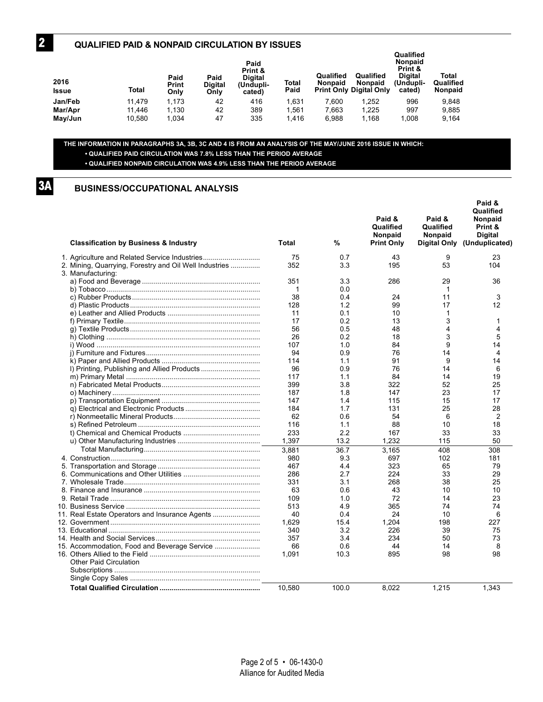#### **QUALIFIED PAID & NONPAID CIRCULATION BY ISSUES**

| -- -<br>2016<br>Issue | Total  | Paid<br>Print<br>Only | Paid<br><b>Digital</b><br>Only | Paid<br>Print &<br><b>Digital</b><br>(Undupli-<br>cated) | Total<br>Paid | Qualified<br><b>Nonpaid</b> | Qualified<br><b>Nonpaid</b><br><b>Print Only Digital Only</b> | Qualified<br><b>Nonpaid</b><br>Print &<br><b>Digital</b><br>(Undupli-<br>cated) | Total<br>Qualified<br>Nonpaid |
|-----------------------|--------|-----------------------|--------------------------------|----------------------------------------------------------|---------------|-----------------------------|---------------------------------------------------------------|---------------------------------------------------------------------------------|-------------------------------|
| Jan/Feb               | 11.479 | 1.173                 | 42                             | 416                                                      | 1,631         | 7.600                       | 1.252                                                         | 996                                                                             | 9,848                         |
| Mar/Apr               | 11.446 | 1.130                 | 42                             | 389                                                      | 1,561         | 7.663                       | 1,225                                                         | 997                                                                             | 9.885                         |
| May/Jun               | 10.580 | 1.034                 | 47                             | 335                                                      | 1.416         | 6.988                       | 1.168                                                         | 1.008                                                                           | 9.164                         |

### **THE INFORMATION IN PARAGRAPHS 3A, 3B, 3C AND 4 IS FROM AN ANALYSIS OF THE MAY/JUNE 2016 ISSUE IN WHICH: • QUALIFIED PAID CIRCULATION WAS 7.8% LESS THAN THE PERIOD AVERAGE**

**• QUALIFIED NONPAID CIRCULATION WAS 4.9% LESS THAN THE PERIOD AVERAGE**

**3A**

**2**

## **BUSINESS/OCCUPATIONAL ANALYSIS**

| <b>Classification by Business &amp; Industry</b>                            | Total  | %     | Paid &<br>Qualified<br>Nonpaid<br><b>Print Only</b> | Paid &<br>Qualified<br>Nonpaid<br>Digital Only | Paid &<br>Qualified<br>Nonpaid<br>Print &<br><b>Digital</b><br>(Unduplicated) |
|-----------------------------------------------------------------------------|--------|-------|-----------------------------------------------------|------------------------------------------------|-------------------------------------------------------------------------------|
| 1. Agriculture and Related Service Industries                               | 75     | 0.7   | 43                                                  | 9                                              | 23                                                                            |
| 2. Mining, Quarrying, Forestry and Oil Well Industries<br>3. Manufacturing: | 352    | 3.3   | 195                                                 | 53                                             | 104                                                                           |
|                                                                             | 351    | 3.3   | 286                                                 | 29                                             | 36                                                                            |
|                                                                             | 1      | 0.0   |                                                     | 1                                              |                                                                               |
|                                                                             | 38     | 0.4   | 24                                                  | 11                                             | 3                                                                             |
|                                                                             | 128    | 1.2   | 99                                                  | 17                                             | 12                                                                            |
|                                                                             | 11     | 0.1   | 10                                                  | 1                                              |                                                                               |
|                                                                             | 17     | 0.2   | 13                                                  | 3                                              | 1                                                                             |
|                                                                             | 56     | 0.5   | 48                                                  | 4                                              | 4                                                                             |
|                                                                             | 26     | 0.2   | 18                                                  | 3                                              | 5                                                                             |
|                                                                             | 107    | 1.0   | 84                                                  | 9                                              | 14                                                                            |
|                                                                             | 94     | 0.9   | 76                                                  | 14                                             | 4                                                                             |
|                                                                             | 114    | 1.1   | 91                                                  | 9                                              | 14                                                                            |
|                                                                             | 96     | 0.9   | 76                                                  | 14                                             | 6                                                                             |
|                                                                             | 117    | 1.1   | 84                                                  | 14                                             | 19                                                                            |
|                                                                             | 399    | 3.8   | 322                                                 | 52                                             | 25                                                                            |
|                                                                             | 187    | 1.8   | 147                                                 | 23                                             | 17                                                                            |
|                                                                             | 147    | 1.4   | 115                                                 | 15                                             | 17                                                                            |
|                                                                             | 184    | 1.7   | 131                                                 | 25                                             | 28                                                                            |
|                                                                             | 62     | 0.6   | 54                                                  | 6                                              | $\overline{2}$                                                                |
|                                                                             | 116    | 1.1   | 88                                                  | 10                                             | 18                                                                            |
|                                                                             | 233    | 2.2   | 167                                                 | 33                                             | 33                                                                            |
|                                                                             | 1,397  | 13.2  | 1.232                                               | 115                                            | 50                                                                            |
|                                                                             |        |       |                                                     |                                                |                                                                               |
|                                                                             | 3,881  | 36.7  | 3.165                                               | 408                                            | 308                                                                           |
|                                                                             | 980    | 9.3   | 697                                                 | 102                                            | 181                                                                           |
|                                                                             | 467    | 4.4   | 323                                                 | 65                                             | 79                                                                            |
|                                                                             | 286    | 2.7   | 224                                                 | 33                                             | 29                                                                            |
|                                                                             | 331    | 3.1   | 268                                                 | 38                                             | 25                                                                            |
|                                                                             | 63     | 0.6   | 43                                                  | 10                                             | 10                                                                            |
|                                                                             | 109    | 1.0   | 72                                                  | 14                                             | 23                                                                            |
|                                                                             | 513    | 4.9   | 365                                                 | 74                                             | 74                                                                            |
| 11. Real Estate Operators and Insurance Agents                              | 40     | 0.4   | 24                                                  | 10                                             | 6                                                                             |
|                                                                             | 1,629  | 15.4  | 1.204                                               | 198                                            | 227                                                                           |
|                                                                             | 340    | 3.2   | 226                                                 | 39                                             | 75                                                                            |
|                                                                             | 357    | 3.4   | 234                                                 | 50                                             | 73                                                                            |
| 15. Accommodation, Food and Beverage Service                                | 66     | 0.6   | 44                                                  | 14                                             | 8                                                                             |
|                                                                             | 1,091  | 10.3  | 895                                                 | 98                                             | 98                                                                            |
| <b>Other Paid Circulation</b>                                               |        |       |                                                     |                                                |                                                                               |
|                                                                             |        |       |                                                     |                                                |                                                                               |
|                                                                             |        |       |                                                     |                                                |                                                                               |
|                                                                             | 10,580 | 100.0 | 8,022                                               | 1,215                                          | 1,343                                                                         |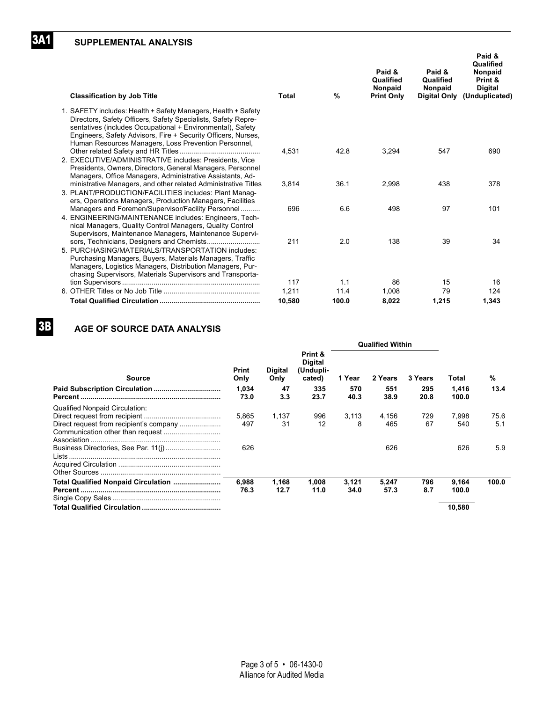## **SUPPLEMENTAL ANALYSIS**

| <b>Classification by Job Title</b>                                                                                                                                                                                                                                                                                    | <b>Total</b> | $\%$  | Paid &<br>Qualified<br>Nonpaid<br><b>Print Only</b> | Paid &<br>Qualified<br>Nonpaid<br>Digital Only | Paid &<br>Qualified<br>Nonpaid<br>Print &<br><b>Digital</b><br>(Unduplicated) |
|-----------------------------------------------------------------------------------------------------------------------------------------------------------------------------------------------------------------------------------------------------------------------------------------------------------------------|--------------|-------|-----------------------------------------------------|------------------------------------------------|-------------------------------------------------------------------------------|
| 1. SAFETY includes: Health + Safety Managers, Health + Safety<br>Directors, Safety Officers, Safety Specialists, Safety Repre-<br>sentatives (includes Occupational + Environmental), Safety<br>Engineers, Safety Advisors, Fire + Security Officers, Nurses,<br>Human Resources Managers, Loss Prevention Personnel, |              |       |                                                     |                                                |                                                                               |
| 2. EXECUTIVE/ADMINISTRATIVE includes: Presidents, Vice<br>Presidents, Owners, Directors, General Managers, Personnel<br>Managers, Office Managers, Administrative Assistants, Ad-                                                                                                                                     | 4.531        | 42.8  | 3,294                                               | 547                                            | 690                                                                           |
| ministrative Managers, and other related Administrative Titles<br>3. PLANT/PRODUCTION/FACILITIES includes: Plant Manag-<br>ers, Operations Managers, Production Managers, Facilities                                                                                                                                  | 3,814        | 36.1  | 2,998                                               | 438                                            | 378                                                                           |
| Managers and Foremen/Supervisor/Facility Personnel<br>4. ENGINEERING/MAINTENANCE includes: Engineers, Tech-<br>nical Managers, Quality Control Managers, Quality Control<br>Supervisors, Maintenance Managers, Maintenance Supervi-                                                                                   | 696          | 6.6   | 498                                                 | 97                                             | 101                                                                           |
| sors, Technicians, Designers and Chemists<br>5. PURCHASING/MATERIALS/TRANSPORTATION includes:<br>Purchasing Managers, Buyers, Materials Managers, Traffic<br>Managers, Logistics Managers, Distribution Managers, Pur-<br>chasing Supervisors, Materials Supervisors and Transporta-                                  | 211          | 2.0   | 138                                                 | 39                                             | 34                                                                            |
|                                                                                                                                                                                                                                                                                                                       | 117          | 1.1   | 86                                                  | 15                                             | 16                                                                            |
|                                                                                                                                                                                                                                                                                                                       | 1,211        | 11.4  | 1,008                                               | 79                                             | 124                                                                           |
|                                                                                                                                                                                                                                                                                                                       | 10.580       | 100.0 | 8.022                                               | 1.215                                          | 1.343                                                                         |

# **3B**

**3A1**

## **AGE OF SOURCE DATA ANALYSIS**

|                                |               | <b>Qualified Within</b> |                                                  |               |               |             |                |             |
|--------------------------------|---------------|-------------------------|--------------------------------------------------|---------------|---------------|-------------|----------------|-------------|
| Source                         | Print<br>Only | <b>Digital</b><br>Only  | Print &<br><b>Digital</b><br>(Undupli-<br>cated) | 1 Year        | 2 Years       | 3 Years     | Total          | %           |
|                                | 1.034<br>73.0 | 47<br>3.3               | 335<br>23.7                                      | 570<br>40.3   | 551<br>38.9   | 295<br>20.8 | 1,416<br>100.0 | 13.4        |
| Qualified Nonpaid Circulation: | 5.865<br>497  | 1.137<br>31             | 996<br>12                                        | 3,113<br>8    | 4,156<br>465  | 729<br>67   | 7.998<br>540   | 75.6<br>5.1 |
|                                | 626           |                         |                                                  |               | 626           |             | 626            | 5.9         |
|                                | 6.988<br>76.3 | 1,168<br>12.7           | 1,008<br>11.0                                    | 3,121<br>34.0 | 5,247<br>57.3 | 796<br>8.7  | 9,164<br>100.0 | 100.0       |
|                                |               |                         |                                                  |               |               |             | 10,580         |             |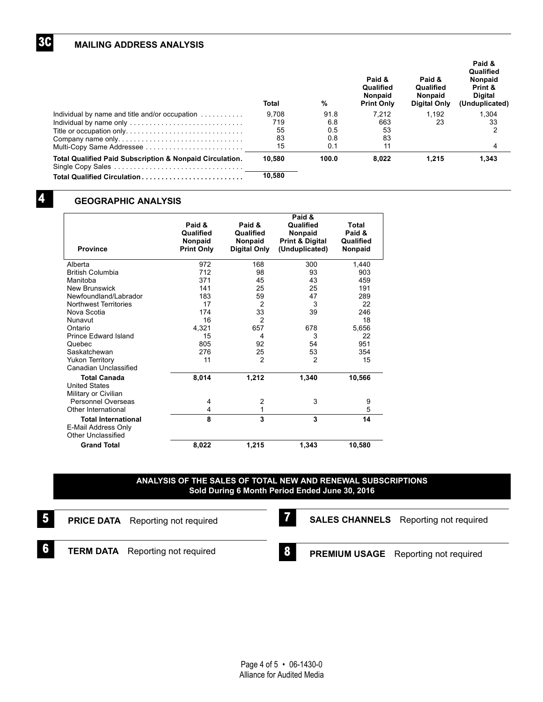### **MAILING ADDRESS ANALYSIS**

| Total  | %     | Paid &<br>Qualified<br><b>Nonpaid</b><br><b>Print Only</b> | Paid &<br>Qualified<br><b>Nonpaid</b><br>Digital Only | Paid &<br>Qualified<br><b>Nonpaid</b><br>Print &<br>Digital<br>(Unduplicated) |
|--------|-------|------------------------------------------------------------|-------------------------------------------------------|-------------------------------------------------------------------------------|
| 9.708  | 91.8  | 7.212                                                      | 1.192                                                 | 1.304                                                                         |
| 719    | 6.8   | 663                                                        | 23                                                    | 33                                                                            |
| 55     | 0.5   | 53                                                         |                                                       | 2                                                                             |
| 83     | 0.8   | 83                                                         |                                                       |                                                                               |
| 15     | 0.1   | 11                                                         |                                                       | 4                                                                             |
| 10.580 | 100.0 | 8.022                                                      | 1.215                                                 | 1.343                                                                         |
| 10,580 |       |                                                            |                                                       |                                                                               |
|        |       |                                                            |                                                       |                                                                               |

## **4**

**3C**

## **GEOGRAPHIC ANALYSIS**

|                              |                   | Paid &              |                            |                |  |  |
|------------------------------|-------------------|---------------------|----------------------------|----------------|--|--|
|                              | Paid &            | Paid &              | Qualified                  | Total          |  |  |
|                              | Qualified         | Qualified           | Nonpaid                    | Paid &         |  |  |
|                              | Nonpaid           | <b>Nonpaid</b>      | <b>Print &amp; Digital</b> | Qualified      |  |  |
| <b>Province</b>              | <b>Print Only</b> | <b>Digital Only</b> | (Unduplicated)             | <b>Nonpaid</b> |  |  |
| Alberta                      | 972               | 168                 | 300                        | 1,440          |  |  |
| <b>British Columbia</b>      | 712               | 98                  | 93                         | 903            |  |  |
| Manitoba                     | 371               | 45                  | 43                         | 459            |  |  |
| <b>New Brunswick</b>         | 141               | 25                  | 25                         | 191            |  |  |
| Newfoundland/Labrador        | 183               | 59                  | 47                         | 289            |  |  |
| <b>Northwest Territories</b> | 17                | 2                   | 3                          | 22             |  |  |
| Nova Scotia                  | 174               | 33                  | 39                         | 246            |  |  |
| Nunavut                      | 16                | $\overline{2}$      |                            | 18             |  |  |
| Ontario                      | 4.321             | 657                 | 678                        | 5,656          |  |  |
| Prince Edward Island         | 15                | 4                   | 3                          | 22             |  |  |
| Quebec                       | 805               | 92                  | 54                         | 951            |  |  |
| Saskatchewan                 | 276               | 25                  | 53                         | 354            |  |  |
| <b>Yukon Territory</b>       | 11                | $\overline{2}$      | 2                          | 15             |  |  |
| Canadian Unclassified        |                   |                     |                            |                |  |  |
| <b>Total Canada</b>          | 8,014             | 1,212               | 1,340                      | 10,566         |  |  |
| <b>United States</b>         |                   |                     |                            |                |  |  |
| Military or Civilian         |                   |                     |                            |                |  |  |
| Personnel Overseas           | 4                 | 2                   | 3                          | 9              |  |  |
| Other International          | 4                 | 1                   |                            | 5              |  |  |
| <b>Total International</b>   | 8                 | 3                   | 3                          | 14             |  |  |
| E-Mail Address Only          |                   |                     |                            |                |  |  |
| <b>Other Unclassified</b>    |                   |                     |                            |                |  |  |
| <b>Grand Total</b>           | 8.022             | 1,215               | 1.343                      | 10.580         |  |  |

#### **ANALYSIS OF THE SALES OF TOTAL NEW AND RENEWAL SUBSCRIPTIONS Sold During 6 Month Period Ended June 30, 2016**

 **8**

- **PRICE DATA** Reporting not required  **5**
- **7**

**SALES CHANNELS** Reporting not required

 **6**

**TERM DATA** Reporting not required

**PREMIUM USAGE** Reporting not required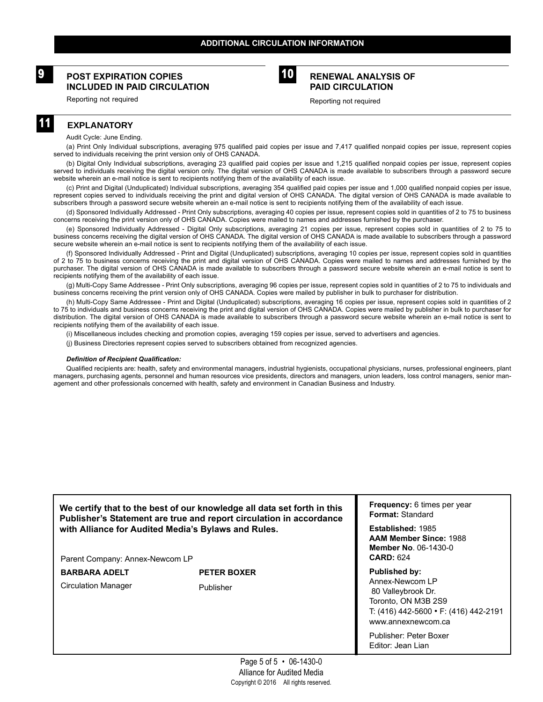## **POST EXPIRATION COPIES 9 RENEWAL ANALYSIS OF INCLUDED IN PAID CIRCULATION**



# **PAID CIRCULATION**

Reporting not required

Reporting not required

## **EXPLANATORY**

**11**

Audit Cycle: June Ending.

(a) Print Only Individual subscriptions, averaging 975 qualified paid copies per issue and 7,417 qualified nonpaid copies per issue, represent copies served to individuals receiving the print version only of OHS CANADA.

(b) Digital Only Individual subscriptions, averaging 23 qualified paid copies per issue and 1,215 qualified nonpaid copies per issue, represent copies served to individuals receiving the digital version only. The digital version of OHS CANADA is made available to subscribers through a password secure website wherein an e-mail notice is sent to recipients notifying them of the availability of each issue.

(c) Print and Digital (Unduplicated) Individual subscriptions, averaging 354 qualified paid copies per issue and 1,000 qualified nonpaid copies per issue, represent copies served to individuals receiving the print and digital version of OHS CANADA. The digital version of OHS CANADA is made available to subscribers through a password secure website wherein an e-mail notice is sent to recipients notifying them of the availability of each issue.

(d) Sponsored Individually Addressed - Print Only subscriptions, averaging 40 copies per issue, represent copies sold in quantities of 2 to 75 to business concerns receiving the print version only of OHS CANADA. Copies were mailed to names and addresses furnished by the purchaser.

(e) Sponsored Individually Addressed - Digital Only subscriptions, averaging 21 copies per issue, represent copies sold in quantities of 2 to 75 to business concerns receiving the digital version of OHS CANADA. The digital version of OHS CANADA is made available to subscribers through a password secure website wherein an e-mail notice is sent to recipients notifying them of the availability of each issue.

(f) Sponsored Individually Addressed - Print and Digital (Unduplicated) subscriptions, averaging 10 copies per issue, represent copies sold in quantities of 2 to 75 to business concerns receiving the print and digital version of OHS CANADA. Copies were mailed to names and addresses furnished by the purchaser. The digital version of OHS CANADA is made available to subscribers through a password secure website wherein an e-mail notice is sent to recipients notifying them of the availability of each issue.

(g) Multi-Copy Same Addressee - Print Only subscriptions, averaging 96 copies per issue, represent copies sold in quantities of 2 to 75 to individuals and business concerns receiving the print version only of OHS CANADA. Copies were mailed by publisher in bulk to purchaser for distribution.

(h) Multi-Copy Same Addressee - Print and Digital (Unduplicated) subscriptions, averaging 16 copies per issue, represent copies sold in quantities of 2 to 75 to individuals and business concerns receiving the print and digital version of OHS CANADA. Copies were mailed by publisher in bulk to purchaser for distribution. The digital version of OHS CANADA is made available to subscribers through a password secure website wherein an e-mail notice is sent to recipients notifying them of the availability of each issue.

(i) Miscellaneous includes checking and promotion copies, averaging 159 copies per issue, served to advertisers and agencies.

(j) Business Directories represent copies served to subscribers obtained from recognized agencies.

#### *Definition of Recipient Qualification:*

Qualified recipients are: health, safety and environmental managers, industrial hygienists, occupational physicians, nurses, professional engineers, plant managers, purchasing agents, personnel and human resources vice presidents, directors and managers, union leaders, loss control managers, senior management and other professionals concerned with health, safety and environment in Canadian Business and Industry.

**We certify that to the best of our knowledge all data set forth in this Publisher's Statement are true and report circulation in accordance with Alliance for Audited Media's Bylaws and Rules.**

Parent Company: Annex-Newcom LP

BARBARA ADELT PETER BOXER

Circulation Manager Publisher

**Frequency:** 6 times per year **Format:** Standard

**Established:** 1985 **AAM Member Since:** 1988 **Member No**. 06-1430-0 **CARD:** 624

**Published by:** Annex-Newcom LP 80 Valleybrook Dr. Toronto, ON M3B 2S9 T: (416) 442-5600 • F: (416) 442-2191 www.annexnewcom.ca

Publisher: Peter Boxer Editor: Jean Lian